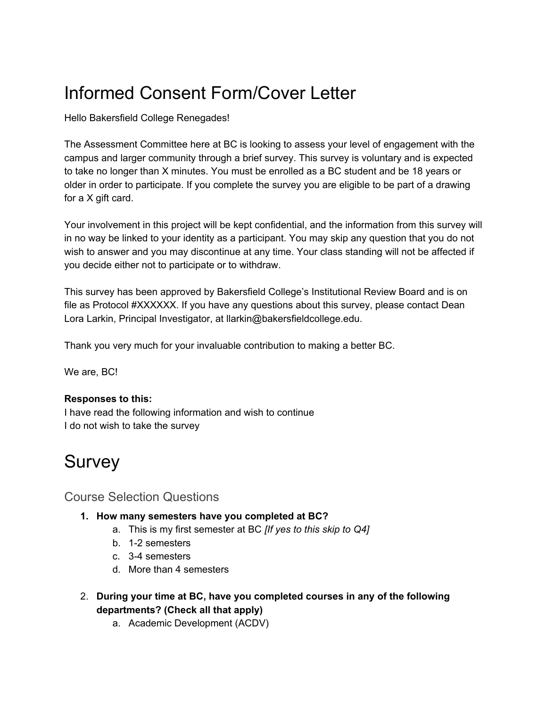# Informed Consent Form/Cover Letter

Hello Bakersfield College Renegades!

The Assessment Committee here at BC is looking to assess your level of engagement with the campus and larger community through a brief survey. This survey is voluntary and is expected to take no longer than X minutes. You must be enrolled as a BC student and be 18 years or older in order to participate. If you complete the survey you are eligible to be part of a drawing for a X gift card.

Your involvement in this project will be kept confidential, and the information from this survey will in no way be linked to your identity as a participant. You may skip any question that you do not wish to answer and you may discontinue at any time. Your class standing will not be affected if you decide either not to participate or to withdraw.

This survey has been approved by Bakersfield College's Institutional Review Board and is on file as Protocol #XXXXXX. If you have any questions about this survey, please contact Dean Lora Larkin, Principal Investigator, at llarkin@bakersfieldcollege.edu.

Thank you very much for your invaluable contribution to making a better BC.

We are, BC!

## **Responses to this:**

I have read the following information and wish to continue I do not wish to take the survey

# Survey

# Course Selection Questions

- **1. How many semesters have you completed at BC?**
	- a. This is my first semester at BC *[If yes to this skip to Q4]*
	- b. 1-2 semesters
	- c. 3-4 semesters
	- d. More than 4 semesters
- 2. **During your time at BC, have you completed courses in any of the following departments? (Check all that apply)**
	- a. Academic Development (ACDV)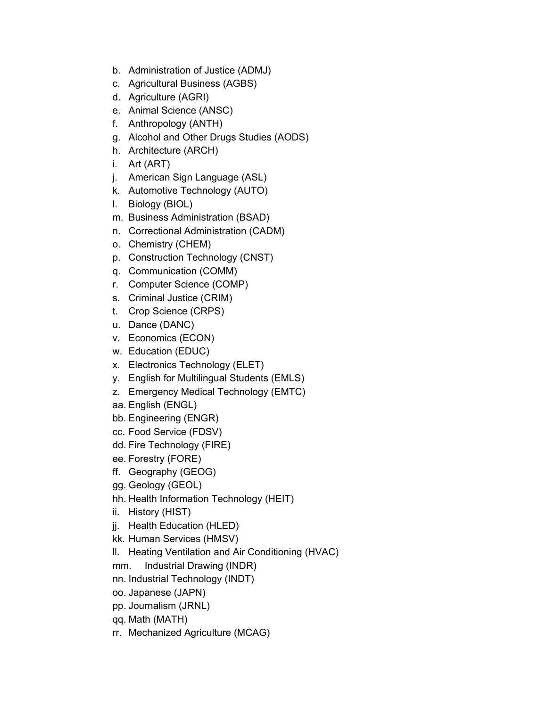- b. Administration of Justice (ADMJ)
- c. Agricultural Business (AGBS)
- d. Agriculture (AGRI)
- e. Animal Science (ANSC)
- f. Anthropology (ANTH)
- g. Alcohol and Other Drugs Studies (AODS)
- h. Architecture (ARCH)
- i. Art (ART)
- j. American Sign Language (ASL)
- k. Automotive Technology (AUTO)
- l. Biology (BIOL)
- m. Business Administration (BSAD)
- n. Correctional Administration (CADM)
- o. Chemistry (CHEM)
- p. Construction Technology (CNST)
- q. Communication (COMM)
- r. Computer Science (COMP)
- s. Criminal Justice (CRIM)
- t. Crop Science (CRPS)
- u. Dance (DANC)
- v. Economics (ECON)
- w. Education (EDUC)
- x. Electronics Technology (ELET)
- y. English for Multilingual Students (EMLS)
- z. Emergency Medical Technology (EMTC)
- aa. English (ENGL)
- bb. Engineering (ENGR)
- cc. Food Service (FDSV)
- dd. Fire Technology (FIRE)
- ee. Forestry (FORE)
- ff. Geography (GEOG)
- gg. Geology (GEOL)
- hh. Health Information Technology (HEIT)
- ii. History (HIST)
- jj. Health Education (HLED)
- kk. Human Services (HMSV)
- ll. Heating Ventilation and Air Conditioning (HVAC)
- mm. Industrial Drawing (INDR)
- nn. Industrial Technology (INDT)
- oo. Japanese (JAPN)
- pp. Journalism (JRNL)
- qq. Math (MATH)
- rr. Mechanized Agriculture (MCAG)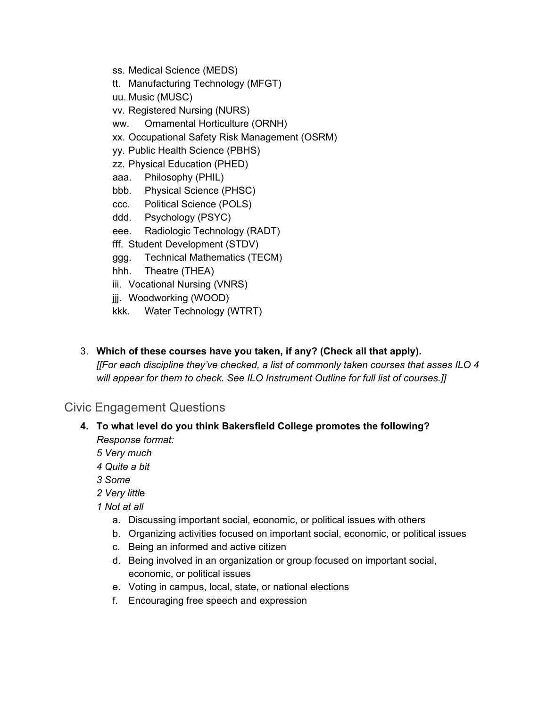- ss. Medical Science (MEDS)
- tt. Manufacturing Technology (MFGT)
- uu. Music (MUSC)
- vv. Registered Nursing (NURS)
- ww. Ornamental Horticulture (ORNH)
- xx. Occupational Safety Risk Management (OSRM)
- yy. Public Health Science (PBHS)
- zz. Physical Education (PHED)
- aaa. Philosophy (PHIL)
- bbb. Physical Science (PHSC)
- ccc. Political Science (POLS)
- ddd. Psychology (PSYC)
- eee. Radiologic Technology (RADT)
- fff. Student Development (STDV)
- ggg. Technical Mathematics (TECM)
- hhh. Theatre (THEA)
- iii. Vocational Nursing (VNRS)
- jjj. Woodworking (WOOD)
- kkk. Water Technology (WTRT)
- 3. **Which of these courses have you taken, if any? (Check all that apply).** *[[For each discipline they've checked, a list of commonly taken courses that asses ILO 4 will appear for them to check. See ILO Instrument Outline for full list of courses.]]*

# Civic Engagement Questions

- **4. To what level do you think Bakersfield College promotes the following?** *Response format:*
	- *5 Very much*
	- *4 Quite a bit*
	- *3 Some*
	- *2 Very littl*e
	- *1 Not at all*
		- a. Discussing important social, economic, or political issues with others
		- b. Organizing activities focused on important social, economic, or political issues
		- c. Being an informed and active citizen
		- d. Being involved in an organization or group focused on important social, economic, or political issues
		- e. Voting in campus, local, state, or national elections
		- f. Encouraging free speech and expression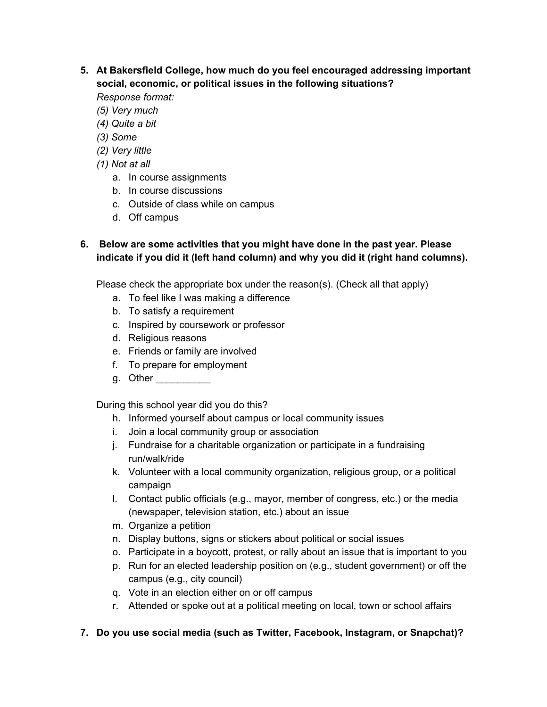- **5. At Bakersfield College, how much do you feel encouraged addressing important social, economic, or political issues in the following situations?** *Response format:*
	- *(5) Very much*
	- *(4) Quite a bit*
	- *(3) Some*
	- *(2) Very little*
	- *(1) Not at all*
		- a. In course assignments
		- b. In course discussions
		- c. Outside of class while on campus
		- d. Off campus

# **6. Below are some activities that you might have done in the past year. Please indicate if you did it (left hand column) and why you did it (right hand columns).**

Please check the appropriate box under the reason(s). (Check all that apply)

- a. To feel like I was making a difference
- b. To satisfy a requirement
- c. Inspired by coursework or professor
- d. Religious reasons
- e. Friends or family are involved
- f. To prepare for employment
- g. Other

During this school year did you do this?

- h. Informed yourself about campus or local community issues
- i. Join a local community group or association
- j. Fundraise for a charitable organization or participate in a fundraising run/walk/ride
- k. Volunteer with a local community organization, religious group, or a political campaign
- l. Contact public officials (e.g., mayor, member of congress, etc.) or the media (newspaper, television station, etc.) about an issue
- m. Organize a petition
- n. Display buttons, signs or stickers about political or social issues
- o. Participate in a boycott, protest, or rally about an issue that is important to you
- p. Run for an elected leadership position on (e.g., student government) or off the campus (e.g., city council)
- q. Vote in an election either on or off campus
- r. Attended or spoke out at a political meeting on local, town or school affairs

## **7. Do you use social media (such as Twitter, Facebook, Instagram, or Snapchat)?**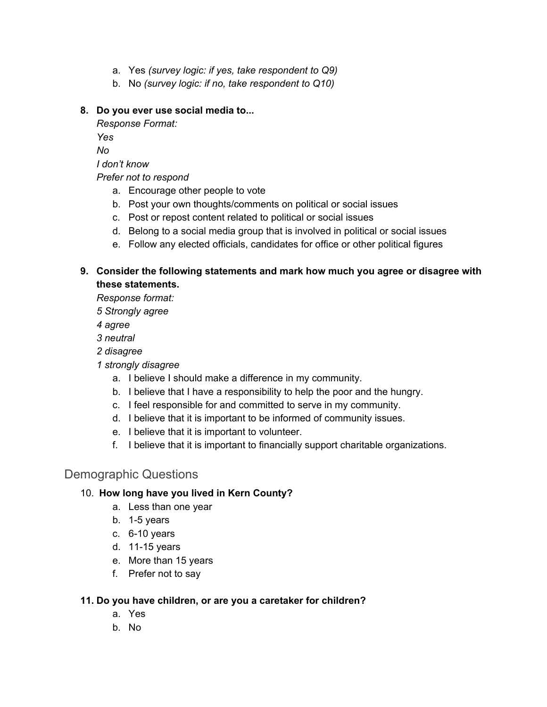- a. Yes *(survey logic: if yes, take respondent to Q9)*
- b. No *(survey logic: if no, take respondent to Q10)*

## **8. Do you ever use social media to...**

*Response Format:*

*Yes*

*No*

*I don't know*

*Prefer not to respond*

- a. Encourage other people to vote
- b. Post your own thoughts/comments on political or social issues
- c. Post or repost content related to political or social issues
- d. Belong to a social media group that is involved in political or social issues
- e. Follow any elected officials, candidates for office or other political figures

# **9. Consider the following statements and mark how much you agree or disagree with these statements.**

*Response format:*

*5 Strongly agree*

*4 agree*

*3 neutral*

*2 disagree*

- *1 strongly disagree*
	- a. I believe I should make a difference in my community.
	- b. I believe that I have a responsibility to help the poor and the hungry.
	- c. I feel responsible for and committed to serve in my community.
	- d. I believe that it is important to be informed of community issues.
	- e. I believe that it is important to volunteer.
	- f. I believe that it is important to financially support charitable organizations.

# Demographic Questions

# 10. **How long have you lived in Kern County?**

- a. Less than one year
- b. 1-5 years
- c. 6-10 years
- d. 11-15 years
- e. More than 15 years
- f. Prefer not to say

## **11. Do you have children, or are you a caretaker for children?**

- a. Yes
- b. No